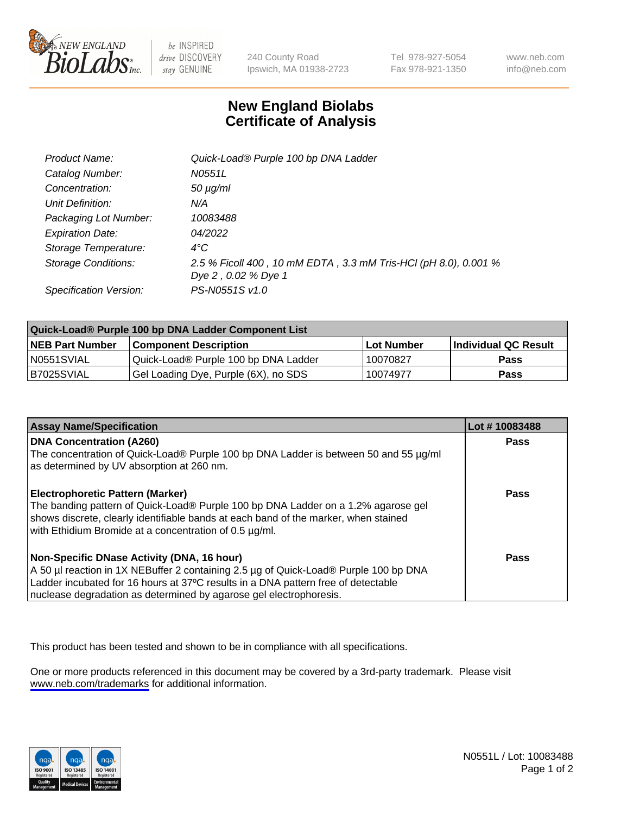

be INSPIRED drive DISCOVERY stay GENUINE

240 County Road Ipswich, MA 01938-2723 Tel 978-927-5054 Fax 978-921-1350

www.neb.com info@neb.com

## **New England Biolabs Certificate of Analysis**

| Product Name:              | Quick-Load® Purple 100 bp DNA Ladder                                                   |
|----------------------------|----------------------------------------------------------------------------------------|
| Catalog Number:            | N0551L                                                                                 |
| Concentration:             | $50 \mu g/ml$                                                                          |
| Unit Definition:           | N/A                                                                                    |
| Packaging Lot Number:      | 10083488                                                                               |
| <b>Expiration Date:</b>    | 04/2022                                                                                |
| Storage Temperature:       | $4^{\circ}$ C                                                                          |
| <b>Storage Conditions:</b> | 2.5 % Ficoll 400, 10 mM EDTA, 3.3 mM Tris-HCl (pH 8.0), 0.001 %<br>Dye 2, 0.02 % Dye 1 |
| Specification Version:     | PS-N0551S v1.0                                                                         |

| Quick-Load® Purple 100 bp DNA Ladder Component List |                                      |                   |                      |  |
|-----------------------------------------------------|--------------------------------------|-------------------|----------------------|--|
| <b>NEB Part Number</b>                              | <b>Component Description</b>         | <b>Lot Number</b> | Individual QC Result |  |
| N0551SVIAL                                          | Quick-Load® Purple 100 bp DNA Ladder | 10070827          | <b>Pass</b>          |  |
| B7025SVIAL                                          | Gel Loading Dye, Purple (6X), no SDS | 10074977          | <b>Pass</b>          |  |

| <b>Assay Name/Specification</b>                                                                                                                                                                                                                                                               | Lot #10083488 |
|-----------------------------------------------------------------------------------------------------------------------------------------------------------------------------------------------------------------------------------------------------------------------------------------------|---------------|
| <b>DNA Concentration (A260)</b><br>The concentration of Quick-Load® Purple 100 bp DNA Ladder is between 50 and 55 µg/ml<br>as determined by UV absorption at 260 nm.                                                                                                                          | <b>Pass</b>   |
| <b>Electrophoretic Pattern (Marker)</b><br>The banding pattern of Quick-Load® Purple 100 bp DNA Ladder on a 1.2% agarose gel<br>shows discrete, clearly identifiable bands at each band of the marker, when stained<br>with Ethidium Bromide at a concentration of 0.5 µg/ml.                 | <b>Pass</b>   |
| Non-Specific DNase Activity (DNA, 16 hour)<br>A 50 µl reaction in 1X NEBuffer 2 containing 2.5 µg of Quick-Load® Purple 100 bp DNA<br>Ladder incubated for 16 hours at 37°C results in a DNA pattern free of detectable<br>nuclease degradation as determined by agarose gel electrophoresis. | Pass          |

This product has been tested and shown to be in compliance with all specifications.

One or more products referenced in this document may be covered by a 3rd-party trademark. Please visit <www.neb.com/trademarks>for additional information.